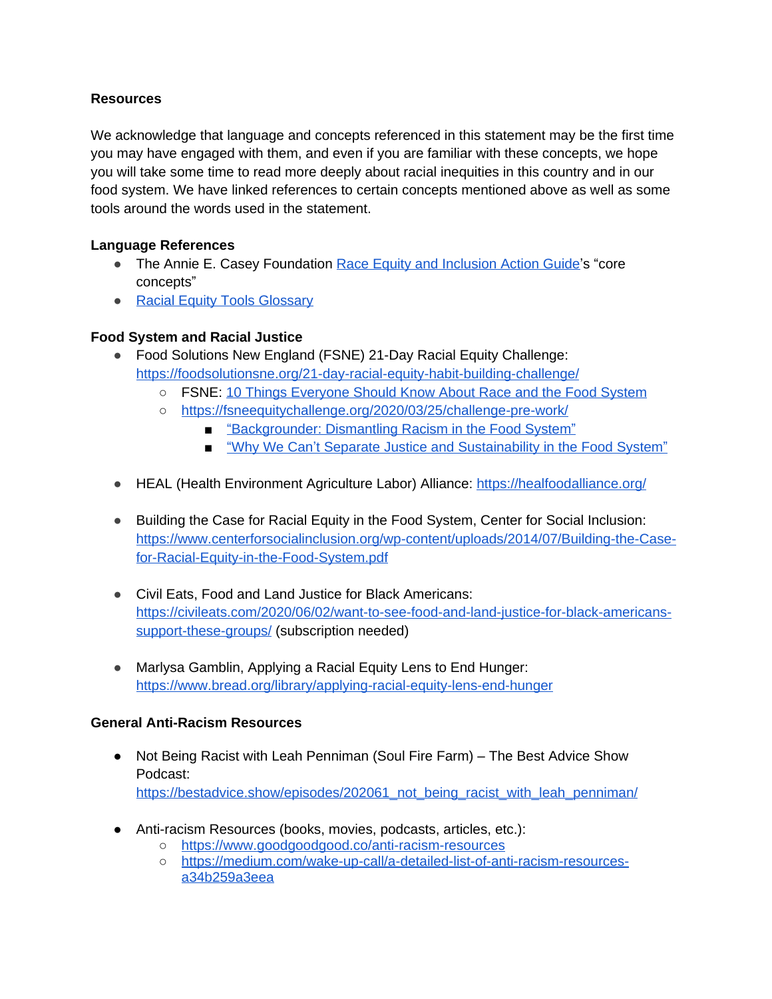## **Resources**

We acknowledge that language and concepts referenced in this statement may be the first time you may have engaged with them, and even if you are familiar with these concepts, we hope you will take some time to read more deeply about racial inequities in this country and in our food system. We have linked references to certain concepts mentioned above as well as some tools around the words used in the statement.

## **Language References**

- The Annie E. Casey Foundation [Race Equity and Inclusion Action Guide](https://www.aecf.org/m/resourcedoc/AECF_EmbracingEquity7Steps-2014.pdf#page=6)'s "core concepts"
- [Racial Equity Tools Glossary](https://www.racialequitytools.org/glossary)

## **Food System and Racial Justice**

- Food Solutions New England (FSNE) 21-Day Racial Equity Challenge: <https://foodsolutionsne.org/21-day-racial-equity-habit-building-challenge/>
	- FSNE: [10 Things Everyone Should Know About Race and the Food System](https://dcfoodpolicycouncilorg.files.wordpress.com/2020/06/10-things-everyone-should-know-about-race-and-the-food-system.pdf)
	- <https://fsneequitychallenge.org/2020/03/25/challenge-pre-work/>
		- "[Backgrounder: Dismantling Racism in the Food System](https://foodfirst.org/publication/backgrounder-dismantling-racism-in-the-food-system/%C2%A0)"
		- "Why We Can'[t Separate Justice and Sustainability in the Food System](https://blog.ucsusa.org/rafter-ferguson/why-we-cant-separate-justice-and-sustainability-in-the-food-system)"
- HEAL (Health Environment Agriculture Labor) Alliance:<https://healfoodalliance.org/>
- Building the Case for Racial Equity in the Food System, Center for Social Inclusion: [https://www.centerforsocialinclusion.org/wp-content/uploads/2014/07/Building-the-Case](https://www.centerforsocialinclusion.org/wp-content/uploads/2014/07/Building-the-Case-for-Racial-Equity-in-the-Food-System.pdf)for-Racial-Equity-in-the-Food-System.pdf
- Civil Eats, Food and Land Justice for Black Americans: [https://civileats.com/2020/06/02/want-to-see-food-and-land-justice-for-black-americans](https://civileats.com/2020/06/02/want-to-see-food-and-land-justice-for-black-americans-support-these-groups/?utm_source=Verified%20CE%20list&utm_campaign=e7f2eacc04-EMAIL_CAMPAIGN_7_3_2018_8_13_COPY_01&utm_medium=email&utm_term=0_aae5e4a315-e7f2eacc04-294284001)support-these-groups/ (subscription needed)
- Marlysa Gamblin, Applying a Racial Equity Lens to End Hunger: [https://www.bread.org/library/applying-racial-equity-lens-end-hunger](https://www.bread.org/library/applying-racial-equity-lens-end-hunger#:~:text=A%20new%20report%20from%20Bread,food%20insecure%20and%20no%20longer)

## **General Anti-Racism Resources**

- Not Being Racist with Leah Penniman (Soul Fire Farm) The Best Advice Show Podcast: [https://bestadvice.show/episodes/202061\\_not\\_being\\_racist\\_with\\_leah\\_penniman/](https://bestadvice.show/episodes/202061_not_being_racist_with_leah_penniman/)
- Anti-racism Resources (books, movies, podcasts, articles, etc.):
	- <https://www.goodgoodgood.co/anti-racism-resources>
		- o [https://medium.com/wake-up-call/a-detailed-list-of-anti-racism-resources](https://medium.com/wake-up-call/a-detailed-list-of-anti-racism-resources-a34b259a3eea)a34b259a3eea